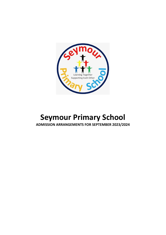

# **Seymour Primary School ADMISSION ARRANGEMENTS FOR SEPTEMBER 2023/2024**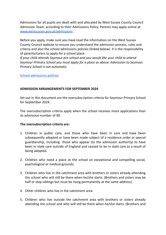Admissions for all pupils are dealt with and allocated by West Sussex County Council Admission Team, according to their Admissions Policy. Parents may apply online at [www.westsussex.gov.uk/admissions](http://www.westsussex.gov.uk/admissions) .

Before you apply, make sure you have read the information on the West Sussex County Council website to ensure you understand the admission process, rules and criteria and also the school admissions policies (linked below) It is the responsibility of parents/carers to apply for a school place.

*If your child attends Seymour pre-school and you would like your child to attend Seymour Primary School you must apply for a place as above. Admission to Seymour Primary School is not automatic.*

School [admissions](https://www.westsussex.gov.uk/education-children-and-families/schools-and-colleges/school-places/guidance/school-admissions-policies/) policies

## **ADMISSION ARRANGEMENTS FOR SEPTEMBER 2024**

Set out in this document are the oversubscription criteria for Seymour Primary School for September 2024.

The oversubscription criteria apply when the school receives more applications than its admission number of 90.

#### **The oversubscription criteria are:**

- 1. Children in public care, and those who have been in care and have been subsequently adopted or have been made subject of a residence order or special guardianship, including those who appear (to the admission authority) to have been in state care outside of England and ceased to be in state care as a result of being adopted.
- 2. Children who need a place at the school on exceptional and compelling social, psychological or medical grounds.
- 3. Children who live in the catchment area with brothers or sisters already attending the school who will still be there when he/she starts. (Brothers and sisters may be half or step-siblings but must be living permanently at the same address).
- 4. Other children who live in the catchment area.
- 5. Children who live outside the catchment area with brothers or sisters already attending the school and who will still be there when he/she starts. (Brothers and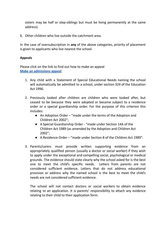sisters may be half or step-siblings but must be living permanently at the same address).

6. Other children who live outside the catchment area.

In the case of oversubscription in **any** of the above categories, priority of placement is given to applicants who live nearest the school.

## **Appeals**

Please click on the link to find out how to make an appeal **Make an [admissions](https://www.westsussex.gov.uk/education-children-and-families/schools-and-colleges/school-places/apply/make-an-admissions-appeal/) appeal**

- 1. Any child with a Statement of Special Educational Needs naming the school will automatically be admitted to a school, under section 324 of the Education Act 1996.
- 2. Previously looked after children are children who were looked after, but ceased to be because they were adopted or became subject to a residence order or a special guardianship order. For the purpose of this criterion this includes:
	- An Adoption Order "made under the terms of the Adoption and Children Act 2002";
	- A Special Guardianship Order "made under Section 14A of the Children Act 1989 (as amended by the Adoption and Children Act 2002";
	- A Residence Order "made under Section 8 of the Children Act 1989".
- 3. Parents/carers must provide written supporting evidence from an appropriately qualified person (usually a doctor or social worker) if they wish to apply under the exceptional and compelling social, psychological or medical grounds. The evidence should state clearly why the school asked for is the best one to meet the child's specific needs. Letters from parents are not considered sufficient evidence. Letters that do not address educational provision or address why the named school is the best to meet the child's needs are not considered sufficient evidence.

The school will not contact doctors or social workers to obtain evidence relating to an application. It is parents' responsibility to attach any evidence relating to their child to their application form.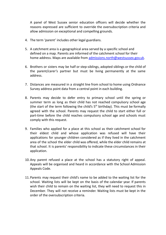A panel of West Sussex senior education officers will decide whether the reasons expressed are sufficient to override the oversubscription criteria and allow admission on exceptional and compelling grounds.

- 4. The term 'parent' includes other legal guardians.
- 5. A catchment area is a geographical area served by a specific school and defined on a map. Parents are informed of the catchment school for their home address. Maps are available from [admissions.north@westsussex.gov.uk](mailto:admissions.north@westsussex.gov.uk).
- 6. Brothers or sisters may be half or step-siblings, adopted siblings or the child of the parent/carer's partner but must be living permanently at the same address.
- 7. Distances are measured in a straight line from school to home using Ordnance Survey address point data from a central point in each building.
- 8. Parents may decide to defer entry to primary school until the spring or summer term as long as their child has not reached compulsory school age (the start of the term following the child's  $5<sup>th</sup>$  birthday). This must be formally agreed with the school. Parents may request the child to start either full or part-time before the child reaches compulsory school age and schools must comply with this request.
- 9. Families who applied for a place at this school as their catchment school for their eldest child and whose application was refused will have their applications for younger children considered as if they lived in the catchment area of the school the elder child was offered, while the elder child remains at that school. It is parents' responsibility to indicate these circumstances in their application.
- 10.Any parent refused a place at the school has a statutory right of appeal. Appeals will be organised and heard in accordance with the School Admission Appeals Code.
- 11.Parents may request their child's name to be added to the waiting list for the school. Waiting lists will be kept on the basis of the calendar year. If parents wish their child to remain on the waiting list, they will need to request this in December. They will not receive a reminder. Waiting lists must be kept in the order of the oversubscription criteria.